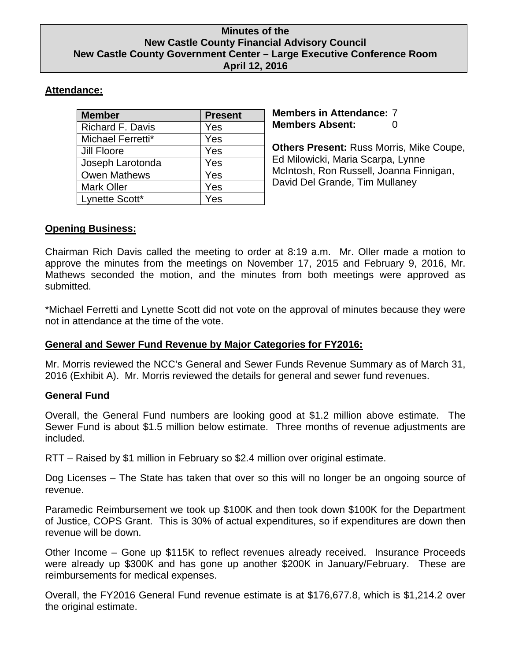### **Minutes of the New Castle County Financial Advisory Council New Castle County Government Center – Large Executive Conference Room April 12, 2016**

# **Attendance:**

| <b>Member</b>       | <b>Present</b> |
|---------------------|----------------|
| Richard F. Davis    | Yes            |
| Michael Ferretti*   | Yes            |
| Jill Floore         | Yes            |
| Joseph Larotonda    | Yes            |
| <b>Owen Mathews</b> | Yes            |
| <b>Mark Oller</b>   | Yes            |
| Lynette Scott*      | Yes            |
|                     |                |

**Members in Attendance:** 7 **Members Absent:** 0

**Others Present:** Russ Morris, Mike Coupe, Ed Milowicki, Maria Scarpa, Lynne McIntosh, Ron Russell, Joanna Finnigan, David Del Grande, Tim Mullaney

# **Opening Business:**

Chairman Rich Davis called the meeting to order at 8:19 a.m. Mr. Oller made a motion to approve the minutes from the meetings on November 17, 2015 and February 9, 2016, Mr. Mathews seconded the motion, and the minutes from both meetings were approved as submitted.

\*Michael Ferretti and Lynette Scott did not vote on the approval of minutes because they were not in attendance at the time of the vote.

## **General and Sewer Fund Revenue by Major Categories for FY2016:**

Mr. Morris reviewed the NCC's General and Sewer Funds Revenue Summary as of March 31, 2016 (Exhibit A). Mr. Morris reviewed the details for general and sewer fund revenues.

## **General Fund**

Overall, the General Fund numbers are looking good at \$1.2 million above estimate. The Sewer Fund is about \$1.5 million below estimate. Three months of revenue adjustments are included.

RTT – Raised by \$1 million in February so \$2.4 million over original estimate.

Dog Licenses – The State has taken that over so this will no longer be an ongoing source of revenue.

Paramedic Reimbursement we took up \$100K and then took down \$100K for the Department of Justice, COPS Grant. This is 30% of actual expenditures, so if expenditures are down then revenue will be down.

Other Income – Gone up \$115K to reflect revenues already received. Insurance Proceeds were already up \$300K and has gone up another \$200K in January/February. These are reimbursements for medical expenses.

Overall, the FY2016 General Fund revenue estimate is at \$176,677.8, which is \$1,214.2 over the original estimate.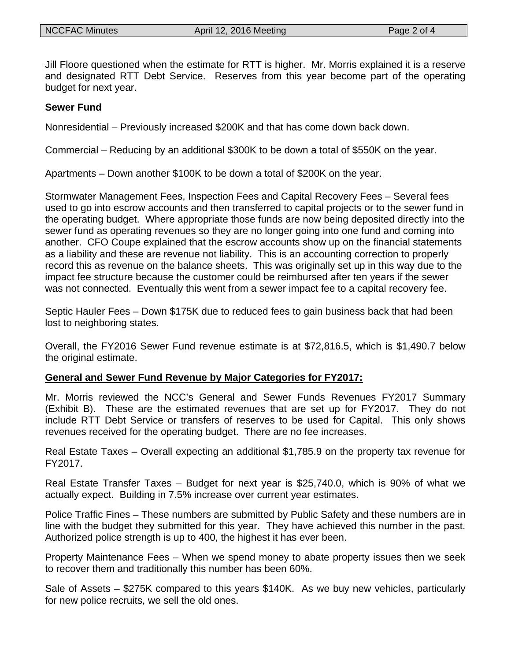Jill Floore questioned when the estimate for RTT is higher. Mr. Morris explained it is a reserve and designated RTT Debt Service. Reserves from this year become part of the operating budget for next year.

#### **Sewer Fund**

Nonresidential – Previously increased \$200K and that has come down back down.

Commercial – Reducing by an additional \$300K to be down a total of \$550K on the year.

Apartments – Down another \$100K to be down a total of \$200K on the year.

Stormwater Management Fees, Inspection Fees and Capital Recovery Fees – Several fees used to go into escrow accounts and then transferred to capital projects or to the sewer fund in the operating budget. Where appropriate those funds are now being deposited directly into the sewer fund as operating revenues so they are no longer going into one fund and coming into another. CFO Coupe explained that the escrow accounts show up on the financial statements as a liability and these are revenue not liability. This is an accounting correction to properly record this as revenue on the balance sheets. This was originally set up in this way due to the impact fee structure because the customer could be reimbursed after ten years if the sewer was not connected. Eventually this went from a sewer impact fee to a capital recovery fee.

Septic Hauler Fees – Down \$175K due to reduced fees to gain business back that had been lost to neighboring states.

Overall, the FY2016 Sewer Fund revenue estimate is at \$72,816.5, which is \$1,490.7 below the original estimate.

### **General and Sewer Fund Revenue by Major Categories for FY2017:**

Mr. Morris reviewed the NCC's General and Sewer Funds Revenues FY2017 Summary (Exhibit B). These are the estimated revenues that are set up for FY2017. They do not include RTT Debt Service or transfers of reserves to be used for Capital. This only shows revenues received for the operating budget. There are no fee increases.

Real Estate Taxes – Overall expecting an additional \$1,785.9 on the property tax revenue for FY2017.

Real Estate Transfer Taxes – Budget for next year is \$25,740.0, which is 90% of what we actually expect. Building in 7.5% increase over current year estimates.

Police Traffic Fines – These numbers are submitted by Public Safety and these numbers are in line with the budget they submitted for this year. They have achieved this number in the past. Authorized police strength is up to 400, the highest it has ever been.

Property Maintenance Fees – When we spend money to abate property issues then we seek to recover them and traditionally this number has been 60%.

Sale of Assets – \$275K compared to this years \$140K. As we buy new vehicles, particularly for new police recruits, we sell the old ones.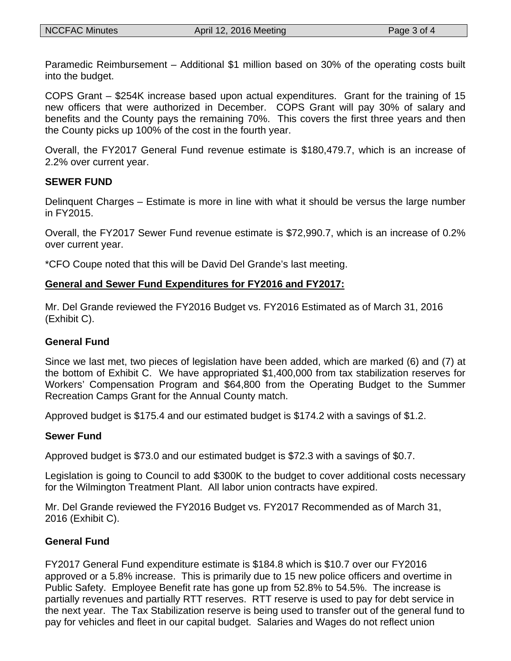Paramedic Reimbursement – Additional \$1 million based on 30% of the operating costs built into the budget.

COPS Grant – \$254K increase based upon actual expenditures. Grant for the training of 15 new officers that were authorized in December. COPS Grant will pay 30% of salary and benefits and the County pays the remaining 70%. This covers the first three years and then the County picks up 100% of the cost in the fourth year.

Overall, the FY2017 General Fund revenue estimate is \$180,479.7, which is an increase of 2.2% over current year.

### **SEWER FUND**

Delinquent Charges – Estimate is more in line with what it should be versus the large number in FY2015.

Overall, the FY2017 Sewer Fund revenue estimate is \$72,990.7, which is an increase of 0.2% over current year.

\*CFO Coupe noted that this will be David Del Grande's last meeting.

## **General and Sewer Fund Expenditures for FY2016 and FY2017:**

Mr. Del Grande reviewed the FY2016 Budget vs. FY2016 Estimated as of March 31, 2016 (Exhibit C).

## **General Fund**

Since we last met, two pieces of legislation have been added, which are marked (6) and (7) at the bottom of Exhibit C. We have appropriated \$1,400,000 from tax stabilization reserves for Workers' Compensation Program and \$64,800 from the Operating Budget to the Summer Recreation Camps Grant for the Annual County match.

Approved budget is \$175.4 and our estimated budget is \$174.2 with a savings of \$1.2.

## **Sewer Fund**

Approved budget is \$73.0 and our estimated budget is \$72.3 with a savings of \$0.7.

Legislation is going to Council to add \$300K to the budget to cover additional costs necessary for the Wilmington Treatment Plant. All labor union contracts have expired.

Mr. Del Grande reviewed the FY2016 Budget vs. FY2017 Recommended as of March 31, 2016 (Exhibit C).

## **General Fund**

FY2017 General Fund expenditure estimate is \$184.8 which is \$10.7 over our FY2016 approved or a 5.8% increase. This is primarily due to 15 new police officers and overtime in Public Safety. Employee Benefit rate has gone up from 52.8% to 54.5%. The increase is partially revenues and partially RTT reserves. RTT reserve is used to pay for debt service in the next year. The Tax Stabilization reserve is being used to transfer out of the general fund to pay for vehicles and fleet in our capital budget. Salaries and Wages do not reflect union